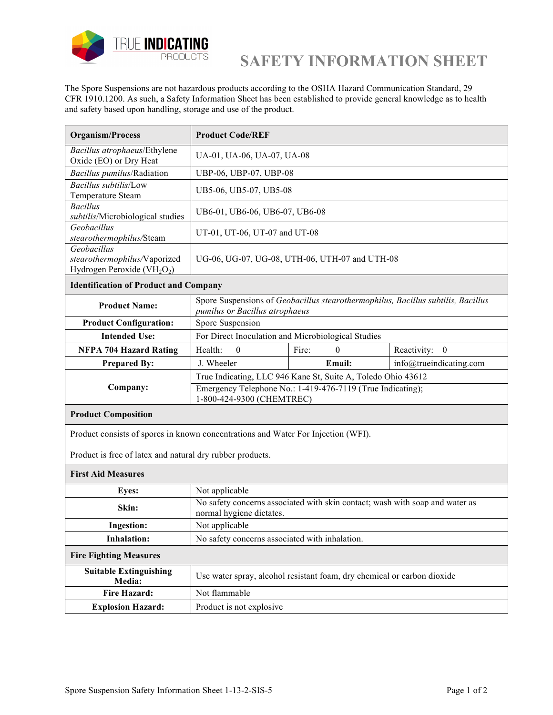

## **SAFETY INFORMATION SHEET**

The Spore Suspensions are not hazardous products according to the OSHA Hazard Communication Standard, 29 CFR 1910.1200. As such, a Safety Information Sheet has been established to provide general knowledge as to health and safety based upon handling, storage and use of the product.

| <b>Organism/Process</b>                                                                            | <b>Product Code/REF</b>                                                                                            |                   |                         |
|----------------------------------------------------------------------------------------------------|--------------------------------------------------------------------------------------------------------------------|-------------------|-------------------------|
| Bacillus atrophaeus/Ethylene<br>Oxide (EO) or Dry Heat                                             | UA-01, UA-06, UA-07, UA-08                                                                                         |                   |                         |
| Bacillus pumilus/Radiation                                                                         | UBP-06, UBP-07, UBP-08                                                                                             |                   |                         |
| Bacillus subtilis/Low<br>Temperature Steam                                                         | UB5-06, UB5-07, UB5-08                                                                                             |                   |                         |
| <b>Bacillus</b><br>subtilis/Microbiological studies                                                | UB6-01, UB6-06, UB6-07, UB6-08                                                                                     |                   |                         |
| Geobacillus<br>stearothermophilus/Steam                                                            | UT-01, UT-06, UT-07 and UT-08                                                                                      |                   |                         |
| Geobacillus<br>stearothermophilus/Vaporized<br>Hydrogen Peroxide (VH <sub>2</sub> O <sub>2</sub> ) | UG-06, UG-07, UG-08, UTH-06, UTH-07 and UTH-08                                                                     |                   |                         |
| <b>Identification of Product and Company</b>                                                       |                                                                                                                    |                   |                         |
| <b>Product Name:</b>                                                                               | Spore Suspensions of Geobacillus stearothermophilus, Bacillus subtilis, Bacillus<br>pumilus or Bacillus atrophaeus |                   |                         |
| <b>Product Configuration:</b>                                                                      | Spore Suspension                                                                                                   |                   |                         |
| <b>Intended Use:</b>                                                                               | For Direct Inoculation and Microbiological Studies                                                                 |                   |                         |
| <b>NFPA 704 Hazard Rating</b>                                                                      | Health:<br>$\Omega$                                                                                                | Fire:<br>$\Omega$ | Reactivity: 0           |
| <b>Prepared By:</b>                                                                                | J. Wheeler                                                                                                         | Email:            | info@trueindicating.com |
|                                                                                                    | True Indicating, LLC 946 Kane St, Suite A, Toledo Ohio 43612                                                       |                   |                         |
| Company:                                                                                           | Emergency Telephone No.: 1-419-476-7119 (True Indicating);<br>1-800-424-9300 (CHEMTREC)                            |                   |                         |
| <b>Product Composition</b>                                                                         |                                                                                                                    |                   |                         |
| Product consists of spores in known concentrations and Water For Injection (WFI).                  |                                                                                                                    |                   |                         |
| Product is free of latex and natural dry rubber products.                                          |                                                                                                                    |                   |                         |
| <b>First Aid Measures</b>                                                                          |                                                                                                                    |                   |                         |
| <b>Eyes:</b>                                                                                       | Not applicable                                                                                                     |                   |                         |
| Skin:                                                                                              | No safety concerns associated with skin contact; wash with soap and water as<br>normal hygiene dictates.           |                   |                         |
| <b>Ingestion:</b>                                                                                  | Not applicable                                                                                                     |                   |                         |
| <b>Inhalation:</b>                                                                                 | No safety concerns associated with inhalation.                                                                     |                   |                         |
| <b>Fire Fighting Measures</b>                                                                      |                                                                                                                    |                   |                         |
| <b>Suitable Extinguishing</b><br>Media:                                                            | Use water spray, alcohol resistant foam, dry chemical or carbon dioxide                                            |                   |                         |
| <b>Fire Hazard:</b>                                                                                | Not flammable                                                                                                      |                   |                         |
| <b>Explosion Hazard:</b>                                                                           | Product is not explosive                                                                                           |                   |                         |